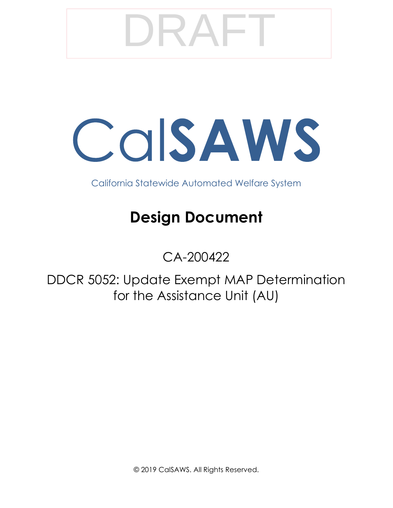# DRAFT



California Statewide Automated Welfare System

# Design Document

# CA-200422

DDCR 5052: Update Exempt MAP Determination for the Assistance Unit (AU)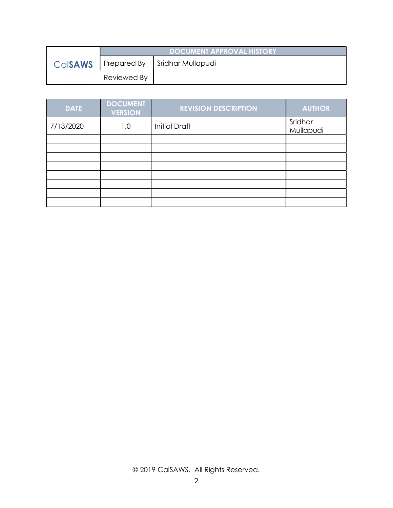|                | <b>DOCUMENT APPROVAL HISTORY</b> |                   |
|----------------|----------------------------------|-------------------|
| <b>CalsAWS</b> | Prepared By                      | Sridhar Mullapudi |
|                | Reviewed By                      |                   |

| <b>DATE</b> | <b>DOCUMENT</b><br><b>VERSION</b> | <b>REVISION DESCRIPTION</b> | <b>AUTHOR</b>        |
|-------------|-----------------------------------|-----------------------------|----------------------|
| 7/13/2020   | 1.0                               | <b>Initial Draft</b>        | Sridhar<br>Mullapudi |
|             |                                   |                             |                      |
|             |                                   |                             |                      |
|             |                                   |                             |                      |
|             |                                   |                             |                      |
|             |                                   |                             |                      |
|             |                                   |                             |                      |
|             |                                   |                             |                      |
|             |                                   |                             |                      |

© 2019 CalSAWS. All Rights Reserved.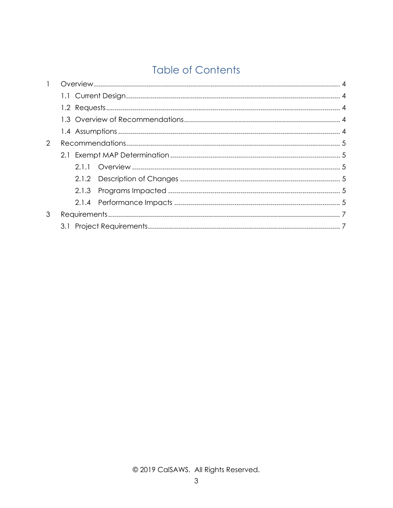# **Table of Contents**

| $\overline{2}$ |  |  |  |  |  |
|----------------|--|--|--|--|--|
|                |  |  |  |  |  |
|                |  |  |  |  |  |
|                |  |  |  |  |  |
|                |  |  |  |  |  |
|                |  |  |  |  |  |
| 3              |  |  |  |  |  |
|                |  |  |  |  |  |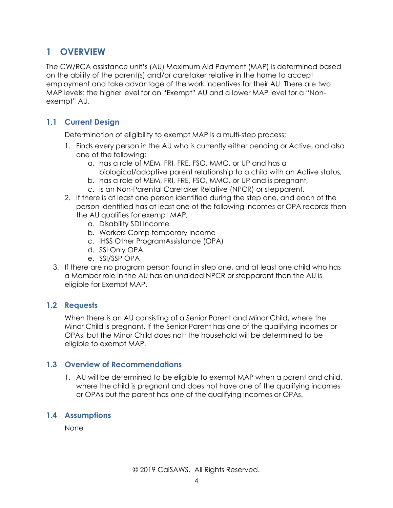# 1 OVERVIEW

The CW/RCA assistance unit's (AU) Maximum Aid Payment (MAP) is determined based on the ability of the parent(s) and/or caretaker relative in the home to accept employment and take advantage of the work incentives for their AU. There are two MAP levels: the higher level for an "Exempt" AU and a lower MAP level for a "Nonexempt" AU.

## 1.1 Current Design

Determination of eligibility to exempt MAP is a multi-step process;

- 1. Finds every person in the AU who is currently either pending or Active, and also one of the following;
	- a. has a role of MEM, FRI, FRE, FSO, MMO, or UP and has a biological/adoptive parent relationship to a child with an Active status,
	- b. has a role of MEM, FRI, FRE, FSO, MMO, or UP and is pregnant,
	- c. is an Non-Parental Caretaker Relative (NPCR) or stepparent.
- 2. If there is at least one person identified during the step one, and each of the person identified has at least one of the following incomes or OPA records then the AU qualifies for exempt MAP;
	- a. Disability SDI Income
	- b. Workers Comp temporary Income
	- c. IHSS Other ProgramAssistance (OPA)
	- d. SSI Only OPA
	- e. SSI/SSP OPA
- 3. If there are no program person found in step one, and at least one child who has a Member role in the AU has an unaided NPCR or stepparent then the AU is eligible for Exempt MAP.

#### 1.2 Requests

When there is an AU consisting of a Senior Parent and Minor Child, where the Minor Child is pregnant. If the Senior Parent has one of the qualifying incomes or OPAs, but the Minor Child does not; the household will be determined to be eligible to exempt MAP.

#### 1.3 Overview of Recommendations

1. AU will be determined to be eligible to exempt MAP when a parent and child, where the child is pregnant and does not have one of the qualifying incomes or OPAs but the parent has one of the qualifying incomes or OPAs.

## 1.4 Assumptions

None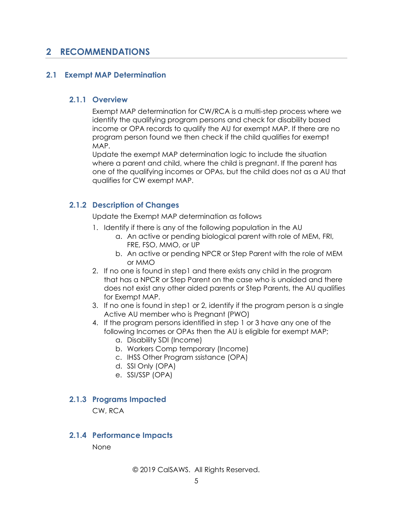# 2 RECOMMENDATIONS

### 2.1 Exempt MAP Determination

#### 2.1.1 Overview

Exempt MAP determination for CW/RCA is a multi-step process where we identify the qualifying program persons and check for disability based income or OPA records to qualify the AU for exempt MAP. If there are no program person found we then check if the child qualifies for exempt MAP.

Update the exempt MAP determination logic to include the situation where a parent and child, where the child is pregnant. If the parent has one of the qualifying incomes or OPAs, but the child does not as a AU that qualifies for CW exempt MAP.

### 2.1.2 Description of Changes

Update the Exempt MAP determination as follows

- 1. Identify if there is any of the following population in the AU
	- a. An active or pending biological parent with role of MEM, FRI, FRE, FSO, MMO, or UP
	- b. An active or pending NPCR or Step Parent with the role of MEM or MMO
- 2. If no one is found in step1 and there exists any child in the program that has a NPCR or Step Parent on the case who is unaided and there does not exist any other aided parents or Step Parents, the AU qualifies for Exempt MAP.
- 3. If no one is found in step1 or 2, identify if the program person is a single Active AU member who is Pregnant (PWO)
- 4. If the program persons identified in step 1 or 3 have any one of the following Incomes or OPAs then the AU is eligible for exempt MAP;
	- a. Disability SDI (Income)
	- b. Workers Comp temporary (Income)
	- c. IHSS Other Program ssistance (OPA)
	- d. SSI Only (OPA)
	- e. SSI/SSP (OPA)

#### 2.1.3 Programs Impacted

CW, RCA

#### 2.1.4 Performance Impacts

None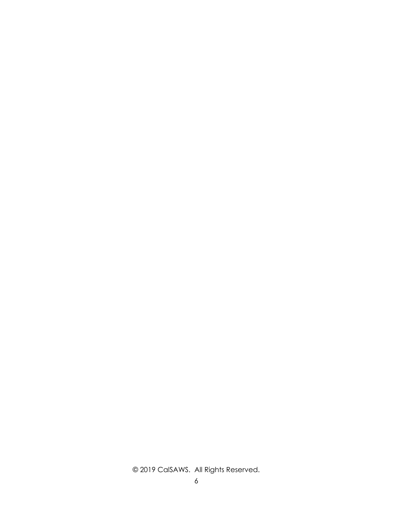# © 2019 CalSAWS. All Rights Reserved.